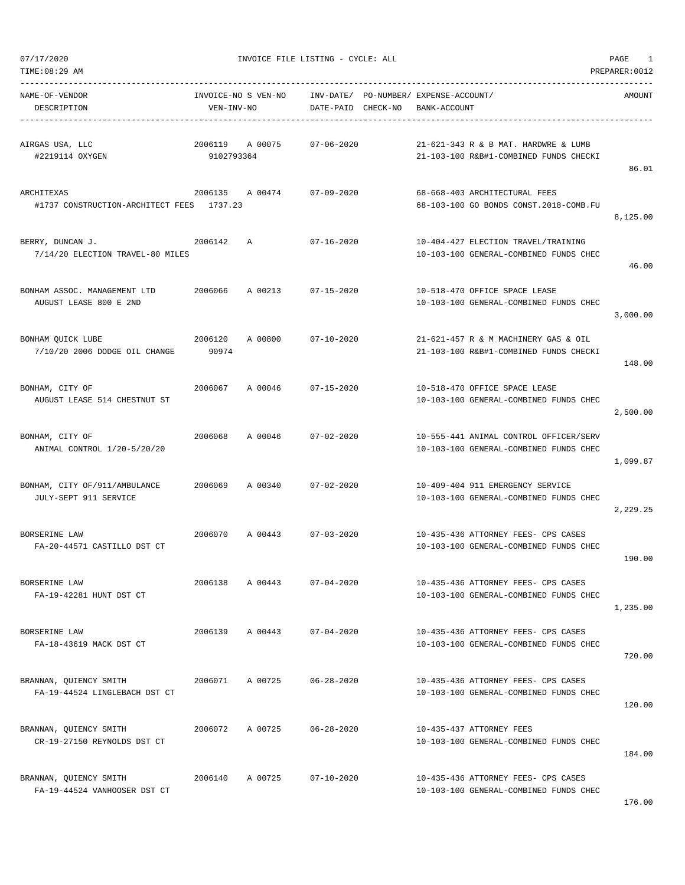| TIME: 08:29 AM<br>PREPARER: 0012                        |                       |                     |                        |          |                                                                                  |          |  |
|---------------------------------------------------------|-----------------------|---------------------|------------------------|----------|----------------------------------------------------------------------------------|----------|--|
| NAME-OF-VENDOR<br>DESCRIPTION                           | VEN-INV-NO            | INVOICE-NO S VEN-NO | INV-DATE/<br>DATE-PAID | CHECK-NO | PO-NUMBER/ EXPENSE-ACCOUNT/<br>BANK-ACCOUNT                                      | AMOUNT   |  |
| AIRGAS USA, LLC<br>#2219114 OXYGEN                      | 2006119<br>9102793364 | A 00075             | $07 - 06 - 2020$       |          | 21-621-343 R & B MAT. HARDWRE & LUMB<br>21-103-100 R&B#1-COMBINED FUNDS CHECKI   | 86.01    |  |
| ARCHITEXAS<br>#1737 CONSTRUCTION-ARCHITECT FEES         | 2006135<br>1737.23    | A 00474             | $07 - 09 - 2020$       |          | 68-668-403 ARCHITECTURAL FEES<br>68-103-100 GO BONDS CONST.2018-COMB.FU          | 8,125.00 |  |
| BERRY, DUNCAN J.<br>7/14/20 ELECTION TRAVEL-80 MILES    | 2006142               | Α                   | $07 - 16 - 2020$       |          | 10-404-427 ELECTION TRAVEL/TRAINING<br>10-103-100 GENERAL-COMBINED FUNDS CHEC    | 46.00    |  |
| BONHAM ASSOC. MANAGEMENT LTD<br>AUGUST LEASE 800 E 2ND  | 2006066               | A 00213             | $07 - 15 - 2020$       |          | 10-518-470 OFFICE SPACE LEASE<br>10-103-100 GENERAL-COMBINED FUNDS CHEC          | 3,000.00 |  |
| BONHAM QUICK LUBE<br>7/10/20 2006 DODGE OIL CHANGE      | 2006120<br>90974      | A 00800             | $07 - 10 - 2020$       |          | 21-621-457 R & M MACHINERY GAS & OIL<br>21-103-100 R&B#1-COMBINED FUNDS CHECKI   | 148.00   |  |
| BONHAM, CITY OF<br>AUGUST LEASE 514 CHESTNUT ST         | 2006067               | A 00046             | $07 - 15 - 2020$       |          | 10-518-470 OFFICE SPACE LEASE<br>10-103-100 GENERAL-COMBINED FUNDS CHEC          | 2,500.00 |  |
| BONHAM, CITY OF<br>ANIMAL CONTROL 1/20-5/20/20          | 2006068               | A 00046             | $07 - 02 - 2020$       |          | 10-555-441 ANIMAL CONTROL OFFICER/SERV<br>10-103-100 GENERAL-COMBINED FUNDS CHEC | 1,099.87 |  |
| BONHAM, CITY OF/911/AMBULANCE<br>JULY-SEPT 911 SERVICE  | 2006069               | A 00340             | $07 - 02 - 2020$       |          | 10-409-404 911 EMERGENCY SERVICE<br>10-103-100 GENERAL-COMBINED FUNDS CHEC       | 2,229.25 |  |
| BORSERINE LAW<br>FA-20-44571 CASTILLO DST CT            | 2006070               | A 00443             | $07 - 03 - 2020$       |          | 10-435-436 ATTORNEY FEES- CPS CASES<br>10-103-100 GENERAL-COMBINED FUNDS CHEC    | 190.00   |  |
| BORSERINE LAW<br>FA-19-42281 HUNT DST CT                | 2006138               | A 00443             | $07 - 04 - 2020$       |          | 10-435-436 ATTORNEY FEES- CPS CASES<br>10-103-100 GENERAL-COMBINED FUNDS CHEC    | 1,235.00 |  |
| BORSERINE LAW<br>FA-18-43619 MACK DST CT                | 2006139               | A 00443             | $07 - 04 - 2020$       |          | 10-435-436 ATTORNEY FEES- CPS CASES<br>10-103-100 GENERAL-COMBINED FUNDS CHEC    | 720.00   |  |
| BRANNAN, OUIENCY SMITH<br>FA-19-44524 LINGLEBACH DST CT | 2006071               | A 00725             | $06 - 28 - 2020$       |          | 10-435-436 ATTORNEY FEES- CPS CASES<br>10-103-100 GENERAL-COMBINED FUNDS CHEC    | 120.00   |  |
| BRANNAN, QUIENCY SMITH<br>CR-19-27150 REYNOLDS DST CT   | 2006072               | A 00725             | $06 - 28 - 2020$       |          | 10-435-437 ATTORNEY FEES<br>10-103-100 GENERAL-COMBINED FUNDS CHEC               | 184.00   |  |
| BRANNAN, QUIENCY SMITH<br>FA-19-44524 VANHOOSER DST CT  | 2006140               | A 00725             | $07 - 10 - 2020$       |          | 10-435-436 ATTORNEY FEES- CPS CASES<br>10-103-100 GENERAL-COMBINED FUNDS CHEC    |          |  |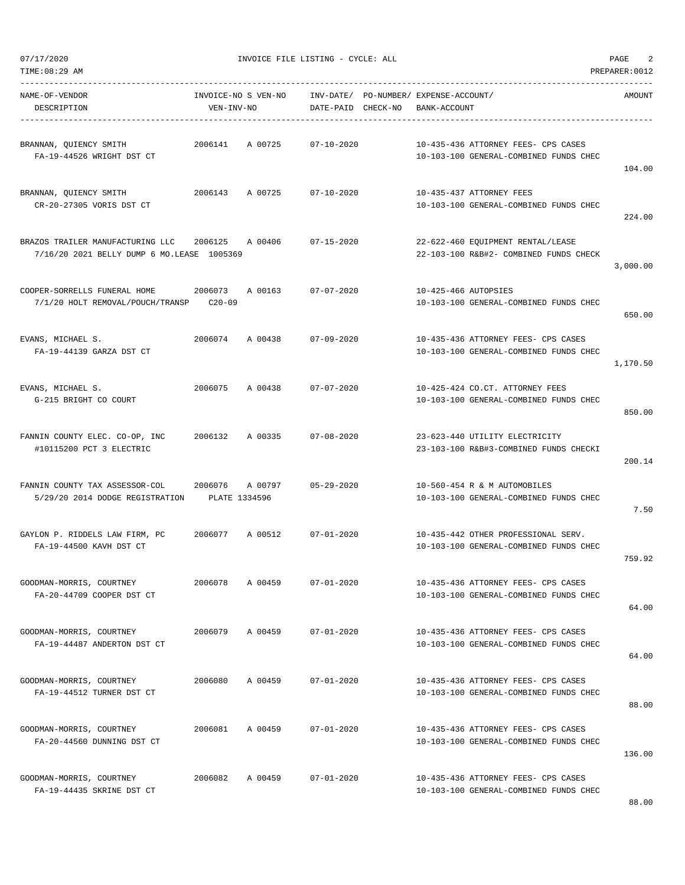| NAME-OF-VENDOR<br>DESCRIPTION                                                  | INVOICE-NO S VEN-NO<br>VEN-INV-NO |         | DATE-PAID CHECK-NO | INV-DATE/ PO-NUMBER/ EXPENSE-ACCOUNT/<br>BANK-ACCOUNT |                                                                               | AMOUNT   |
|--------------------------------------------------------------------------------|-----------------------------------|---------|--------------------|-------------------------------------------------------|-------------------------------------------------------------------------------|----------|
| BRANNAN, QUIENCY SMITH<br>FA-19-44526 WRIGHT DST CT                            | 2006141                           | A 00725 | $07 - 10 - 2020$   |                                                       | 10-435-436 ATTORNEY FEES- CPS CASES<br>10-103-100 GENERAL-COMBINED FUNDS CHEC | 104.00   |
| BRANNAN, QUIENCY SMITH<br>CR-20-27305 VORIS DST CT                             | 2006143                           | A 00725 | 07-10-2020         |                                                       | 10-435-437 ATTORNEY FEES<br>10-103-100 GENERAL-COMBINED FUNDS CHEC            | 224.00   |
| BRAZOS TRAILER MANUFACTURING LLC<br>7/16/20 2021 BELLY DUMP 6 MO.LEASE 1005369 | 2006125                           | A 00406 | 07-15-2020         |                                                       | 22-622-460 EQUIPMENT RENTAL/LEASE<br>22-103-100 R&B#2- COMBINED FUNDS CHECK   | 3,000.00 |
| COOPER-SORRELLS FUNERAL HOME<br>7/1/20 HOLT REMOVAL/POUCH/TRANSP               | 2006073<br>$C20-09$               | A 00163 | $07 - 07 - 2020$   | 10-425-466 AUTOPSIES                                  | 10-103-100 GENERAL-COMBINED FUNDS CHEC                                        | 650.00   |
| EVANS, MICHAEL S.<br>FA-19-44139 GARZA DST CT                                  | 2006074                           | A 00438 | 07-09-2020         |                                                       | 10-435-436 ATTORNEY FEES- CPS CASES<br>10-103-100 GENERAL-COMBINED FUNDS CHEC | 1,170.50 |
| EVANS, MICHAEL S.<br>G-215 BRIGHT CO COURT                                     | 2006075                           | A 00438 | $07 - 07 - 2020$   |                                                       | 10-425-424 CO.CT. ATTORNEY FEES<br>10-103-100 GENERAL-COMBINED FUNDS CHEC     | 850.00   |
| FANNIN COUNTY ELEC. CO-OP, INC<br>#10115200 PCT 3 ELECTRIC                     | 2006132                           | A 00335 | $07 - 08 - 2020$   |                                                       | 23-623-440 UTILITY ELECTRICITY<br>23-103-100 R&B#3-COMBINED FUNDS CHECKI      | 200.14   |
| FANNIN COUNTY TAX ASSESSOR-COL<br>5/29/20 2014 DODGE REGISTRATION              | 2006076<br>PLATE 1334596          | A 00797 | $05 - 29 - 2020$   |                                                       | 10-560-454 R & M AUTOMOBILES<br>10-103-100 GENERAL-COMBINED FUNDS CHEC        | 7.50     |
| GAYLON P. RIDDELS LAW FIRM, PC<br>FA-19-44500 KAVH DST CT                      | 2006077                           | A 00512 | $07 - 01 - 2020$   |                                                       | 10-435-442 OTHER PROFESSIONAL SERV.<br>10-103-100 GENERAL-COMBINED FUNDS CHEC | 759.92   |
| GOODMAN-MORRIS, COURTNEY<br>FA-20-44709 COOPER DST CT                          | 2006078                           | A 00459 | $07 - 01 - 2020$   |                                                       | 10-435-436 ATTORNEY FEES- CPS CASES<br>10-103-100 GENERAL-COMBINED FUNDS CHEC | 64.00    |
| GOODMAN-MORRIS, COURTNEY<br>FA-19-44487 ANDERTON DST CT                        | 2006079                           | A 00459 | $07 - 01 - 2020$   |                                                       | 10-435-436 ATTORNEY FEES- CPS CASES<br>10-103-100 GENERAL-COMBINED FUNDS CHEC | 64.00    |
| GOODMAN-MORRIS, COURTNEY<br>FA-19-44512 TURNER DST CT                          | 2006080                           | A 00459 | $07 - 01 - 2020$   |                                                       | 10-435-436 ATTORNEY FEES- CPS CASES<br>10-103-100 GENERAL-COMBINED FUNDS CHEC | 88.00    |
| GOODMAN-MORRIS, COURTNEY<br>FA-20-44560 DUNNING DST CT                         | 2006081                           | A 00459 | $07 - 01 - 2020$   |                                                       | 10-435-436 ATTORNEY FEES- CPS CASES<br>10-103-100 GENERAL-COMBINED FUNDS CHEC | 136.00   |
| GOODMAN-MORRIS, COURTNEY<br>FA-19-44435 SKRINE DST CT                          | 2006082                           | A 00459 | $07 - 01 - 2020$   |                                                       | 10-435-436 ATTORNEY FEES- CPS CASES<br>10-103-100 GENERAL-COMBINED FUNDS CHEC |          |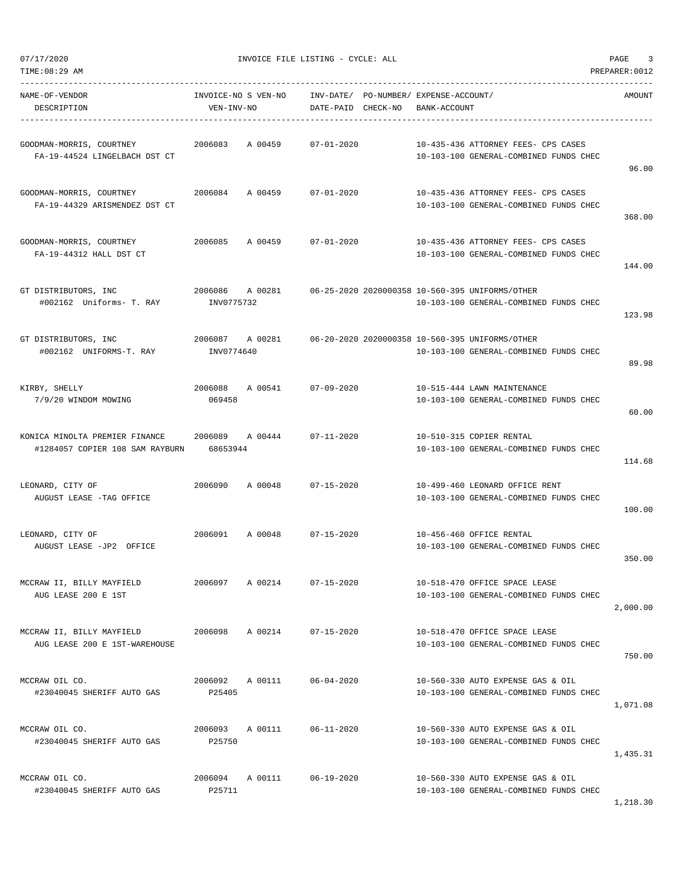| TIME: 08:29 AM                                                    |                                   |         |                                 |                                               |                                                                                           | PREPARER: 0012 |
|-------------------------------------------------------------------|-----------------------------------|---------|---------------------------------|-----------------------------------------------|-------------------------------------------------------------------------------------------|----------------|
| NAME-OF-VENDOR<br>DESCRIPTION                                     | INVOICE-NO S VEN-NO<br>VEN-INV-NO |         | INV-DATE/<br>DATE-PAID CHECK-NO | PO-NUMBER / EXPENSE-ACCOUNT /<br>BANK-ACCOUNT |                                                                                           | AMOUNT         |
| GOODMAN-MORRIS, COURTNEY<br>FA-19-44524 LINGELBACH DST CT         | 2006083                           | A 00459 | $07 - 01 - 2020$                |                                               | 10-435-436 ATTORNEY FEES- CPS CASES<br>10-103-100 GENERAL-COMBINED FUNDS CHEC             | 96.00          |
| GOODMAN-MORRIS, COURTNEY<br>FA-19-44329 ARISMENDEZ DST CT         | 2006084                           | A 00459 | $07 - 01 - 2020$                |                                               | 10-435-436 ATTORNEY FEES- CPS CASES<br>10-103-100 GENERAL-COMBINED FUNDS CHEC             | 368.00         |
| GOODMAN-MORRIS, COURTNEY<br>FA-19-44312 HALL DST CT               | 2006085                           | A 00459 | $07 - 01 - 2020$                |                                               | 10-435-436 ATTORNEY FEES- CPS CASES<br>10-103-100 GENERAL-COMBINED FUNDS CHEC             | 144.00         |
| GT DISTRIBUTORS, INC<br>#002162 Uniforms- T. RAY                  | 2006086<br>INV0775732             | A 00281 |                                 |                                               | 06-25-2020 2020000358 10-560-395 UNIFORMS/OTHER<br>10-103-100 GENERAL-COMBINED FUNDS CHEC | 123.98         |
| GT DISTRIBUTORS, INC<br>#002162 UNIFORMS-T. RAY                   | 2006087 A 00281<br>INV0774640     |         |                                 |                                               | 06-20-2020 2020000358 10-560-395 UNIFORMS/OTHER<br>10-103-100 GENERAL-COMBINED FUNDS CHEC | 89.98          |
| KIRBY, SHELLY<br>7/9/20 WINDOM MOWING                             | 2006088<br>069458                 | A 00541 | $07 - 09 - 2020$                |                                               | 10-515-444 LAWN MAINTENANCE<br>10-103-100 GENERAL-COMBINED FUNDS CHEC                     | 60.00          |
| KONICA MINOLTA PREMIER FINANCE<br>#1284057 COPIER 108 SAM RAYBURN | 2006089<br>68653944               | A 00444 | $07 - 11 - 2020$                |                                               | 10-510-315 COPIER RENTAL<br>10-103-100 GENERAL-COMBINED FUNDS CHEC                        | 114.68         |
| LEONARD, CITY OF<br>AUGUST LEASE -TAG OFFICE                      | 2006090                           | A 00048 | $07 - 15 - 2020$                |                                               | 10-499-460 LEONARD OFFICE RENT<br>10-103-100 GENERAL-COMBINED FUNDS CHEC                  | 100.00         |
| LEONARD, CITY OF<br>AUGUST LEASE -JP2 OFFICE                      | 2006091                           | A 00048 | $07 - 15 - 2020$                |                                               | 10-456-460 OFFICE RENTAL<br>10-103-100 GENERAL-COMBINED FUNDS CHEC                        | 350.00         |
| MCCRAW II, BILLY MAYFIELD<br>AUG LEASE 200 E 1ST                  | 2006097                           | A 00214 | $07 - 15 - 2020$                |                                               | 10-518-470 OFFICE SPACE LEASE<br>10-103-100 GENERAL-COMBINED FUNDS CHEC                   | 2,000.00       |
| MCCRAW II, BILLY MAYFIELD<br>AUG LEASE 200 E 1ST-WAREHOUSE        | 2006098                           | A 00214 | $07 - 15 - 2020$                |                                               | 10-518-470 OFFICE SPACE LEASE<br>10-103-100 GENERAL-COMBINED FUNDS CHEC                   | 750.00         |
| MCCRAW OIL CO.<br>#23040045 SHERIFF AUTO GAS                      | 2006092 A 00111<br>P25405         |         | $06 - 04 - 2020$                |                                               | 10-560-330 AUTO EXPENSE GAS & OIL<br>10-103-100 GENERAL-COMBINED FUNDS CHEC               | 1,071.08       |
| MCCRAW OIL CO.<br>#23040045 SHERIFF AUTO GAS                      | 2006093<br>P25750                 | A 00111 | $06 - 11 - 2020$                |                                               | 10-560-330 AUTO EXPENSE GAS & OIL<br>10-103-100 GENERAL-COMBINED FUNDS CHEC               | 1,435.31       |
| MCCRAW OIL CO.<br>#23040045 SHERIFF AUTO GAS                      | 2006094<br>P25711                 | A 00111 | $06 - 19 - 2020$                |                                               | 10-560-330 AUTO EXPENSE GAS & OIL<br>10-103-100 GENERAL-COMBINED FUNDS CHEC               | 1,218.30       |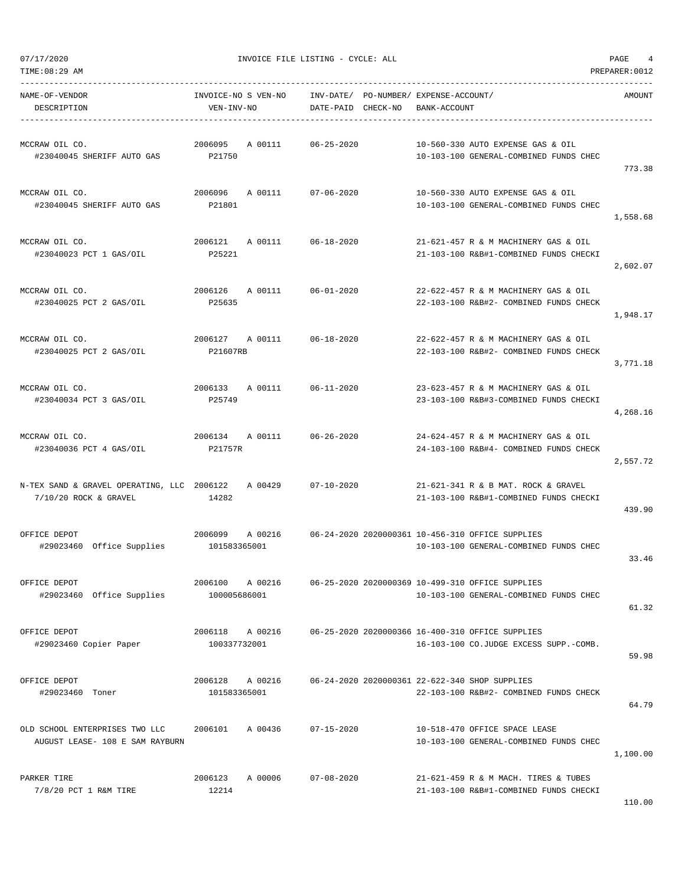TIME:08:29 AM PREPARER:0012

07/17/2020 INVOICE FILE LISTING - CYCLE: ALL PAGE 4

| NAME-OF-VENDOR<br>DESCRIPTION                                     | INVOICE-NO S VEN-NO<br>VEN-INV-NO      | INV-DATE/ PO-NUMBER/ EXPENSE-ACCOUNT/<br>DATE-PAID CHECK-NO | BANK-ACCOUNT                                                                               | AMOUNT   |
|-------------------------------------------------------------------|----------------------------------------|-------------------------------------------------------------|--------------------------------------------------------------------------------------------|----------|
| MCCRAW OIL CO.<br>#23040045 SHERIFF AUTO GAS                      | 2006095<br>A 00111<br>P21750           | 06-25-2020                                                  | 10-560-330 AUTO EXPENSE GAS & OIL<br>10-103-100 GENERAL-COMBINED FUNDS CHEC                | 773.38   |
| MCCRAW OIL CO.<br>#23040045 SHERIFF AUTO GAS                      | 2006096 A 00111 07-06-2020<br>P21801   |                                                             | 10-560-330 AUTO EXPENSE GAS & OIL<br>10-103-100 GENERAL-COMBINED FUNDS CHEC                | 1,558.68 |
| MCCRAW OIL CO.<br>#23040023 PCT 1 GAS/OIL                         | 2006121 A 00111<br>P25221              | 06-18-2020                                                  | 21-621-457 R & M MACHINERY GAS & OIL<br>21-103-100 R&B#1-COMBINED FUNDS CHECKI             | 2,602.07 |
| MCCRAW OIL CO.<br>#23040025 PCT 2 GAS/OIL                         | A 00111<br>2006126<br>P25635           | $06 - 01 - 2020$                                            | 22-622-457 R & M MACHINERY GAS & OIL<br>22-103-100 R&B#2- COMBINED FUNDS CHECK             | 1,948.17 |
| MCCRAW OIL CO.<br>#23040025 PCT 2 GAS/OIL                         | 2006127 A 00111 06-18-2020<br>P21607RB |                                                             | 22-622-457 R & M MACHINERY GAS & OIL<br>22-103-100 R&B#2- COMBINED FUNDS CHECK             | 3,771.18 |
| MCCRAW OIL CO.<br>#23040034 PCT 3 GAS/OIL                         | 2006133<br>A 00111<br>P25749           | $06 - 11 - 2020$                                            | 23-623-457 R & M MACHINERY GAS & OIL<br>23-103-100 R&B#3-COMBINED FUNDS CHECKI             | 4,268.16 |
| MCCRAW OIL CO.<br>#23040036 PCT 4 GAS/OIL                         | 2006134<br>A 00111<br>P21757R          | 06-26-2020                                                  | 24-624-457 R & M MACHINERY GAS & OIL<br>24-103-100 R&B#4- COMBINED FUNDS CHECK             | 2,557.72 |
| $7/10/20$ ROCK & GRAVEL                                           | 14282                                  |                                                             | 21-621-341 R & B MAT. ROCK & GRAVEL<br>21-103-100 R&B#1-COMBINED FUNDS CHECKI              | 439.90   |
| OFFICE DEPOT<br>#29023460 Office Supplies                         | 2006099<br>A 00216<br>101583365001     |                                                             | 06-24-2020 2020000361 10-456-310 OFFICE SUPPLIES<br>10-103-100 GENERAL-COMBINED FUNDS CHEC | 33.46    |
| OFFICE DEPOT<br>#29023460 Office Supplies                         | 2006100<br>A 00216<br>100005686001     |                                                             | 06-25-2020 2020000369 10-499-310 OFFICE SUPPLIES<br>10-103-100 GENERAL-COMBINED FUNDS CHEC | 61.32    |
| OFFICE DEPOT<br>#29023460 Copier Paper                            | 2006118<br>A 00216<br>100337732001     |                                                             | 06-25-2020 2020000366 16-400-310 OFFICE SUPPLIES<br>16-103-100 CO.JUDGE EXCESS SUPP.-COMB. | 59.98    |
| OFFICE DEPOT<br>#29023460 Toner                                   | 2006128<br>A 00216<br>101583365001     |                                                             | 06-24-2020 2020000361 22-622-340 SHOP SUPPLIES<br>22-103-100 R&B#2- COMBINED FUNDS CHECK   | 64.79    |
| OLD SCHOOL ENTERPRISES TWO LLC<br>AUGUST LEASE- 108 E SAM RAYBURN | 2006101<br>A 00436                     | $07 - 15 - 2020$                                            | 10-518-470 OFFICE SPACE LEASE<br>10-103-100 GENERAL-COMBINED FUNDS CHEC                    | 1,100.00 |
| PARKER TIRE<br>7/8/20 PCT 1 R&M TIRE                              | 2006123<br>A 00006<br>12214            | $07 - 08 - 2020$                                            | 21-621-459 R & M MACH. TIRES & TUBES<br>21-103-100 R&B#1-COMBINED FUNDS CHECKI             |          |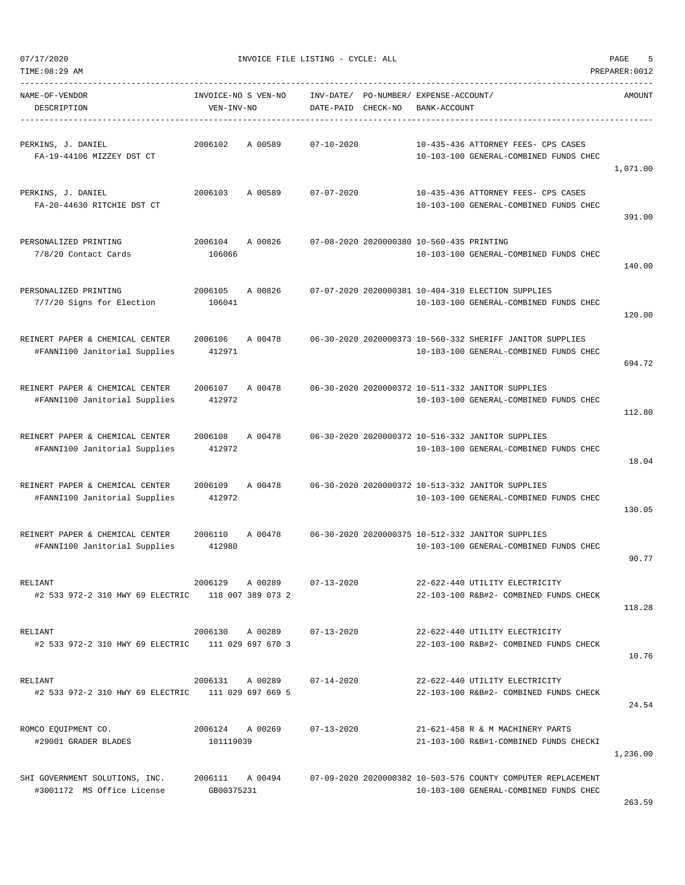TIME:08:29 AM PREPARER:0012

| NAME-OF-VENDOR<br>DESCRIPTION                                    | INVOICE-NO S VEN-NO<br>VEN-INV-NO |         | INV-DATE/<br>DATE-PAID | CHECK-NO | PO-NUMBER/ EXPENSE-ACCOUNT/<br>BANK-ACCOUNT |                                                                                                        | AMOUNT   |
|------------------------------------------------------------------|-----------------------------------|---------|------------------------|----------|---------------------------------------------|--------------------------------------------------------------------------------------------------------|----------|
| PERKINS, J. DANIEL<br>FA-19-44106 MIZZEY DST CT                  | 2006102                           | A 00589 | $07 - 10 - 2020$       |          |                                             | 10-435-436 ATTORNEY FEES- CPS CASES<br>10-103-100 GENERAL-COMBINED FUNDS CHEC                          | 1,071.00 |
| PERKINS, J. DANIEL<br>FA-20-44630 RITCHIE DST CT                 | 2006103                           | A 00589 | $07 - 07 - 2020$       |          |                                             | 10-435-436 ATTORNEY FEES- CPS CASES<br>10-103-100 GENERAL-COMBINED FUNDS CHEC                          | 391.00   |
| PERSONALIZED PRINTING<br>7/8/20 Contact Cards                    | 2006104<br>106066                 | A 00826 |                        |          | 07-08-2020 2020000380 10-560-435 PRINTING   | 10-103-100 GENERAL-COMBINED FUNDS CHEC                                                                 | 140.00   |
| PERSONALIZED PRINTING<br>7/7/20 Signs for Election               | 2006105<br>106041                 | A 00826 |                        |          |                                             | 07-07-2020 2020000381 10-404-310 ELECTION SUPPLIES<br>10-103-100 GENERAL-COMBINED FUNDS CHEC           | 120.00   |
| REINERT PAPER & CHEMICAL CENTER<br>#FANNI100 Janitorial Supplies | 2006106<br>412971                 | A 00478 |                        |          |                                             | 06-30-2020 2020000373 10-560-332 SHERIFF JANITOR SUPPLIES<br>10-103-100 GENERAL-COMBINED FUNDS CHEC    | 694.72   |
| REINERT PAPER & CHEMICAL CENTER<br>#FANNI100 Janitorial Supplies | 2006107<br>412972                 | A 00478 |                        |          |                                             | 06-30-2020 2020000372 10-511-332 JANITOR SUPPLIES<br>10-103-100 GENERAL-COMBINED FUNDS CHEC            | 112.80   |
| REINERT PAPER & CHEMICAL CENTER<br>#FANNI100 Janitorial Supplies | 2006108<br>412972                 | A 00478 |                        |          |                                             | 06-30-2020 2020000372 10-516-332 JANITOR SUPPLIES<br>10-103-100 GENERAL-COMBINED FUNDS CHEC            | 18.04    |
| REINERT PAPER & CHEMICAL CENTER<br>#FANNI100 Janitorial Supplies | 2006109<br>412972                 | A 00478 |                        |          |                                             | 06-30-2020 2020000372 10-513-332 JANITOR SUPPLIES<br>10-103-100 GENERAL-COMBINED FUNDS CHEC            | 130.05   |
| REINERT PAPER & CHEMICAL CENTER<br>#FANNI100 Janitorial Supplies | 2006110<br>412980                 | A 00478 |                        |          |                                             | 06-30-2020 2020000375 10-512-332 JANITOR SUPPLIES<br>10-103-100 GENERAL-COMBINED FUNDS CHEC            | 90.77    |
| RELIANT<br>#2 533 972-2 310 HWY 69 ELECTRIC                      | 2006129<br>118 007 389 073 2      | A 00289 | $07 - 13 - 2020$       |          |                                             | 22-622-440 UTILITY ELECTRICITY<br>22-103-100 R&B#2- COMBINED FUNDS CHECK                               | 118.28   |
| RELIANT<br>#2 533 972-2 310 HWY 69 ELECTRIC                      | 2006130<br>111 029 697 670 3      | A 00289 | $07 - 13 - 2020$       |          |                                             | 22-622-440 UTILITY ELECTRICITY<br>22-103-100 R&B#2- COMBINED FUNDS CHECK                               | 10.76    |
| RELIANT<br>#2 533 972-2 310 HWY 69 ELECTRIC 111 029 697 669 5    | 2006131 A 00289                   |         | $07 - 14 - 2020$       |          |                                             | 22-622-440 UTILITY ELECTRICITY<br>22-103-100 R&B#2- COMBINED FUNDS CHECK                               | 24.54    |
| ROMCO EQUIPMENT CO.<br>#29001 GRADER BLADES                      | 2006124<br>101119039              | A 00269 | $07 - 13 - 2020$       |          |                                             | 21-621-458 R & M MACHINERY PARTS<br>21-103-100 R&B#1-COMBINED FUNDS CHECKI                             | 1,236.00 |
| SHI GOVERNMENT SOLUTIONS, INC.<br>#3001172 MS Office License     | 2006111 A 00494<br>GB00375231     |         |                        |          |                                             | 07-09-2020 2020000382 10-503-576 COUNTY COMPUTER REPLACEMENT<br>10-103-100 GENERAL-COMBINED FUNDS CHEC |          |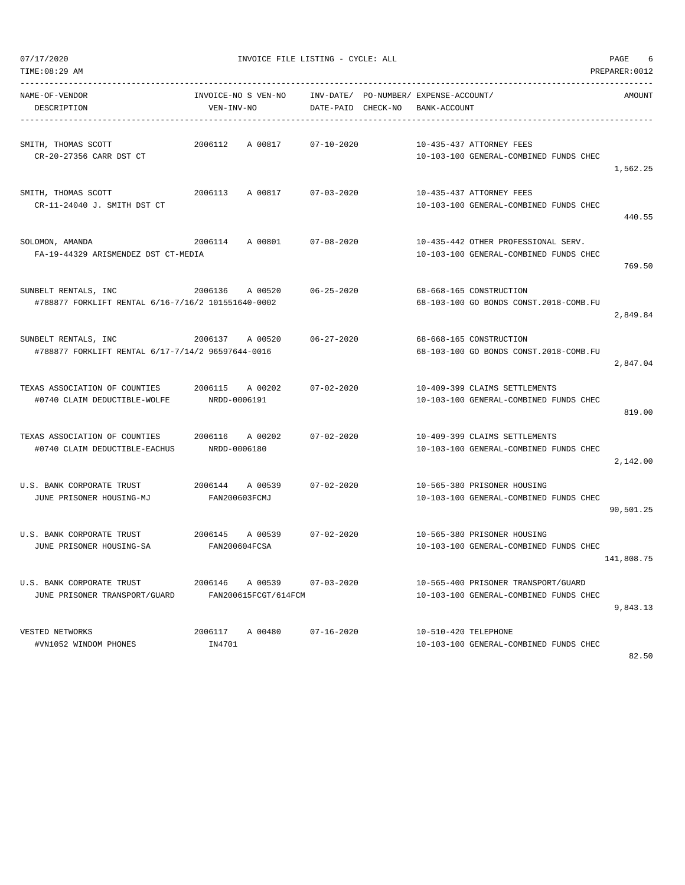| 07/17/2020                                         | INVOICE FILE LISTING - CYCLE: ALL | PAGE<br>6          |                                        |                |
|----------------------------------------------------|-----------------------------------|--------------------|----------------------------------------|----------------|
| TIME: 08:29 AM                                     |                                   |                    |                                        | PREPARER: 0012 |
| NAME-OF-VENDOR                                     | INVOICE-NO S VEN-NO               | INV-DATE/          | PO-NUMBER/ EXPENSE-ACCOUNT/            | AMOUNT         |
| DESCRIPTION                                        | VEN-INV-NO                        | DATE-PAID CHECK-NO | BANK-ACCOUNT                           |                |
|                                                    |                                   |                    |                                        |                |
| SMITH, THOMAS SCOTT                                | 2006112<br>A 00817                | $07 - 10 - 2020$   | 10-435-437 ATTORNEY FEES               |                |
| CR-20-27356 CARR DST CT                            |                                   |                    | 10-103-100 GENERAL-COMBINED FUNDS CHEC | 1,562.25       |
|                                                    | 2006113                           |                    | 10-435-437 ATTORNEY FEES               |                |
| SMITH, THOMAS SCOTT<br>CR-11-24040 J. SMITH DST CT | A 00817                           | $07 - 03 - 2020$   | 10-103-100 GENERAL-COMBINED FUNDS CHEC |                |
|                                                    |                                   |                    |                                        | 440.55         |
| SOLOMON, AMANDA                                    | 2006114<br>A 00801                | $07 - 08 - 2020$   | 10-435-442 OTHER PROFESSIONAL SERV.    |                |
| FA-19-44329 ARISMENDEZ DST CT-MEDIA                |                                   |                    | 10-103-100 GENERAL-COMBINED FUNDS CHEC |                |
|                                                    |                                   |                    |                                        | 769.50         |
| SUNBELT RENTALS, INC                               | 2006136<br>A 00520                | $06 - 25 - 2020$   | 68-668-165 CONSTRUCTION                |                |
| #788877 FORKLIFT RENTAL 6/16-7/16/2 101551640-0002 |                                   |                    | 68-103-100 GO BONDS CONST.2018-COMB.FU |                |
|                                                    |                                   |                    |                                        | 2,849.84       |
| SUNBELT RENTALS, INC                               | 2006137 A 00520                   | $06 - 27 - 2020$   | 68-668-165 CONSTRUCTION                |                |
| #788877 FORKLIFT RENTAL 6/17-7/14/2 96597644-0016  |                                   |                    | 68-103-100 GO BONDS CONST.2018-COMB.FU |                |
|                                                    |                                   |                    |                                        | 2,847.04       |
| TEXAS ASSOCIATION OF COUNTIES                      | 2006115<br>A 00202                | $07 - 02 - 2020$   | 10-409-399 CLAIMS SETTLEMENTS          |                |
| #0740 CLAIM DEDUCTIBLE-WOLFE                       | NRDD-0006191                      |                    | 10-103-100 GENERAL-COMBINED FUNDS CHEC |                |
|                                                    |                                   |                    |                                        | 819.00         |
| TEXAS ASSOCIATION OF COUNTIES                      | 2006116<br>A 00202                | $07 - 02 - 2020$   | 10-409-399 CLAIMS SETTLEMENTS          |                |
| #0740 CLAIM DEDUCTIBLE-EACHUS                      | NRDD-0006180                      |                    | 10-103-100 GENERAL-COMBINED FUNDS CHEC |                |
|                                                    |                                   |                    |                                        | 2,142.00       |
| U.S. BANK CORPORATE TRUST                          | 2006144 A 00539                   | $07 - 02 - 2020$   | 10-565-380 PRISONER HOUSING            |                |
| JUNE PRISONER HOUSING-MJ                           | FAN200603FCMJ                     |                    | 10-103-100 GENERAL-COMBINED FUNDS CHEC |                |
|                                                    |                                   |                    |                                        | 90,501.25      |
| U.S. BANK CORPORATE TRUST                          | 2006145<br>A 00539                | $07 - 02 - 2020$   | 10-565-380 PRISONER HOUSING            |                |
| JUNE PRISONER HOUSING-SA                           | FAN200604FCSA                     |                    | 10-103-100 GENERAL-COMBINED FUNDS CHEC |                |
|                                                    |                                   |                    |                                        | 141,808.75     |
| U.S. BANK CORPORATE TRUST                          | 2006146<br>A 00539                | $07 - 03 - 2020$   | 10-565-400 PRISONER TRANSPORT/GUARD    |                |
| JUNE PRISONER TRANSPORT/GUARD                      | FAN200615FCGT/614FCM              |                    | 10-103-100 GENERAL-COMBINED FUNDS CHEC |                |
|                                                    |                                   |                    |                                        | 9,843.13       |
| VESTED NETWORKS                                    | A 00480<br>2006117                | $07 - 16 - 2020$   | 10-510-420 TELEPHONE                   |                |
| #VN1052 WINDOM PHONES                              | IN4701                            |                    | 10-103-100 GENERAL-COMBINED FUNDS CHEC |                |